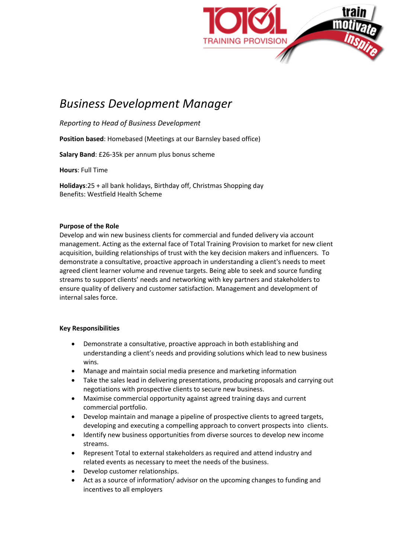

## *Business Development Manager*

*Reporting to Head of Business Development*

**Position based**: Homebased (Meetings at our Barnsley based office)

**Salary Band**: £26-35k per annum plus bonus scheme

**Hours**: Full Time

**Holidays**:25 + all bank holidays, Birthday off, Christmas Shopping day Benefits: Westfield Health Scheme

## **Purpose of the Role**

Develop and win new business clients for commercial and funded delivery via account management. Acting as the external face of Total Training Provision to market for new client acquisition, building relationships of trust with the key decision makers and influencers. To demonstrate a consultative, proactive approach in understanding a client's needs to meet agreed client learner volume and revenue targets. Being able to seek and source funding streams to support clients' needs and networking with key partners and stakeholders to ensure quality of delivery and customer satisfaction. Management and development of internal sales force.

## **Key Responsibilities**

- Demonstrate a consultative, proactive approach in both establishing and understanding a client's needs and providing solutions which lead to new business wins.
- Manage and maintain social media presence and marketing information
- Take the sales lead in delivering presentations, producing proposals and carrying out negotiations with prospective clients to secure new business.
- Maximise commercial opportunity against agreed training days and current commercial portfolio.
- Develop maintain and manage a pipeline of prospective clients to agreed targets, developing and executing a compelling approach to convert prospects into clients.
- Identify new business opportunities from diverse sources to develop new income streams.
- Represent Total to external stakeholders as required and attend industry and related events as necessary to meet the needs of the business.
- Develop customer relationships.
- Act as a source of information/ advisor on the upcoming changes to funding and incentives to all employers